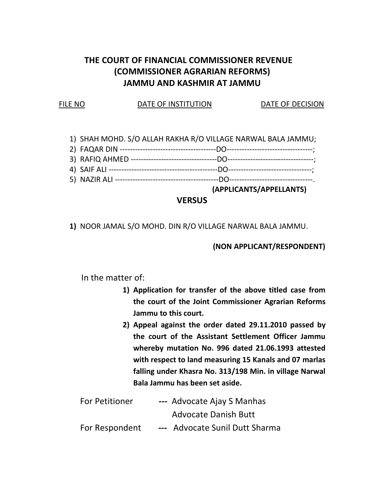# THE COURT OF FINANCIAL COMMISSIONER REVENUE (COMMISSIONER AGRARIAN REFORMS) JAMMU AND KASHMIR AT JAMMU

#### FILE NO **DATE OF INSTITUTION** DATE OF DECISION

- 1) SHAH MOHD. S/O ALLAH RAKHA R/O VILLAGE NARWAL BALA JAMMU;
- 2) FAQAR DIN --------------------------------------DO----------------------------------;
- 3) RAFIQ AHMED ----------------------------------DO----------------------------------;
- 4) SAIF ALI -------------------------------------------DO---------------------------------;
- 5) NAZIR ALI -----------------------------------------DO---------------------------------.

(APPLICANTS/APPELLANTS)

## **VERSUS**

1) NOOR JAMAL S/O MOHD. DIN R/O VILLAGE NARWAL BALA JAMMU.

### (NON APPLICANT/RESPONDENT)

In the matter of:

- 1) Application for transfer of the above titled case from the court of the Joint Commissioner Agrarian Reforms Jammu to this court.
- 2) Appeal against the order dated 29.11.2010 passed by the court of the Assistant Settlement Officer Jammu whereby mutation No. 996 dated 21.06.1993 attested with respect to land measuring 15 Kanals and 07 marlas falling under Khasra No. 313/198 Min. in village Narwal Bala Jammu has been set aside.

| For Petitioner | --- Advocate Ajay S Manhas     |
|----------------|--------------------------------|
|                | <b>Advocate Danish Butt</b>    |
| For Respondent | --- Advocate Sunil Dutt Sharma |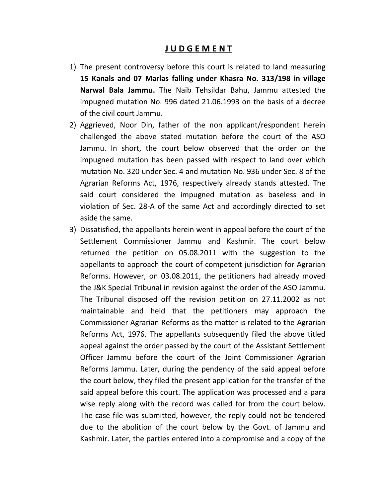### J U D G E M E N T

- 1) The present controversy before this court is related to land measuring 15 Kanals and 07 Marlas falling under Khasra No. 313/198 in village Narwal Bala Jammu. The Naib Tehsildar Bahu, Jammu attested the impugned mutation No. 996 dated 21.06.1993 on the basis of a decree of the civil court Jammu.
- 2) Aggrieved, Noor Din, father of the non applicant/respondent herein challenged the above stated mutation before the court of the ASO Jammu. In short, the court below observed that the order on the impugned mutation has been passed with respect to land over which mutation No. 320 under Sec. 4 and mutation No. 936 under Sec. 8 of the Agrarian Reforms Act, 1976, respectively already stands attested. The said court considered the impugned mutation as baseless and in violation of Sec. 28-A of the same Act and accordingly directed to set aside the same.
- 3) Dissatisfied, the appellants herein went in appeal before the court of the Settlement Commissioner Jammu and Kashmir. The court below returned the petition on 05.08.2011 with the suggestion to the appellants to approach the court of competent jurisdiction for Agrarian Reforms. However, on 03.08.2011, the petitioners had already moved the J&K Special Tribunal in revision against the order of the ASO Jammu. The Tribunal disposed off the revision petition on 27.11.2002 as not maintainable and held that the petitioners may approach the Commissioner Agrarian Reforms as the matter is related to the Agrarian Reforms Act, 1976. The appellants subsequently filed the above titled appeal against the order passed by the court of the Assistant Settlement Officer Jammu before the court of the Joint Commissioner Agrarian Reforms Jammu. Later, during the pendency of the said appeal before the court below, they filed the present application for the transfer of the said appeal before this court. The application was processed and a para wise reply along with the record was called for from the court below. The case file was submitted, however, the reply could not be tendered due to the abolition of the court below by the Govt. of Jammu and Kashmir. Later, the parties entered into a compromise and a copy of the